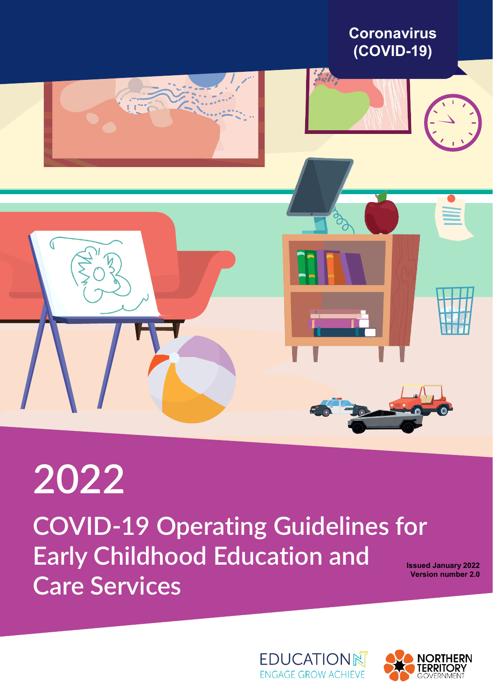

# **2022 COVID-19 Operating Guidelines for Early Childhood Education and Care Services**

**Issued January 2022 Version number 2.0**



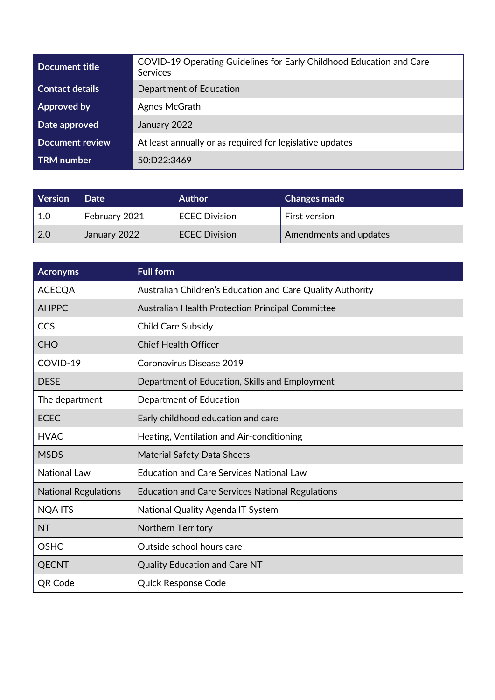| Document title         | COVID-19 Operating Guidelines for Early Childhood Education and Care<br>Services |  |
|------------------------|----------------------------------------------------------------------------------|--|
| <b>Contact details</b> | Department of Education                                                          |  |
| Approved by            | Agnes McGrath                                                                    |  |
| Date approved          | January 2022                                                                     |  |
| <b>Document review</b> | At least annually or as required for legislative updates                         |  |
| <b>TRM</b> number      | 50:D22:3469                                                                      |  |

| <b>Version</b> | Date          | <b>Author</b>        | <b>Changes made</b>    |
|----------------|---------------|----------------------|------------------------|
| 1.0            | February 2021 | <b>ECEC Division</b> | <b>First version</b>   |
| 2.0            | January 2022  | <b>ECEC Division</b> | Amendments and updates |

| <b>Acronyms</b>             | <b>Full form</b>                                           |
|-----------------------------|------------------------------------------------------------|
| <b>ACECQA</b>               | Australian Children's Education and Care Quality Authority |
| <b>AHPPC</b>                | <b>Australian Health Protection Principal Committee</b>    |
| CCS                         | <b>Child Care Subsidy</b>                                  |
| <b>CHO</b>                  | <b>Chief Health Officer</b>                                |
| COVID-19                    | Coronavirus Disease 2019                                   |
| <b>DESE</b>                 | Department of Education, Skills and Employment             |
| The department              | Department of Education                                    |
| <b>ECEC</b>                 | Early childhood education and care                         |
| <b>HVAC</b>                 | Heating, Ventilation and Air-conditioning                  |
| <b>MSDS</b>                 | <b>Material Safety Data Sheets</b>                         |
| <b>National Law</b>         | <b>Education and Care Services National Law</b>            |
| <b>National Regulations</b> | <b>Education and Care Services National Regulations</b>    |
| <b>NQA ITS</b>              | National Quality Agenda IT System                          |
| <b>NT</b>                   | Northern Territory                                         |
| <b>OSHC</b>                 | Outside school hours care                                  |
| <b>QECNT</b>                | <b>Quality Education and Care NT</b>                       |
| QR Code                     | <b>Quick Response Code</b>                                 |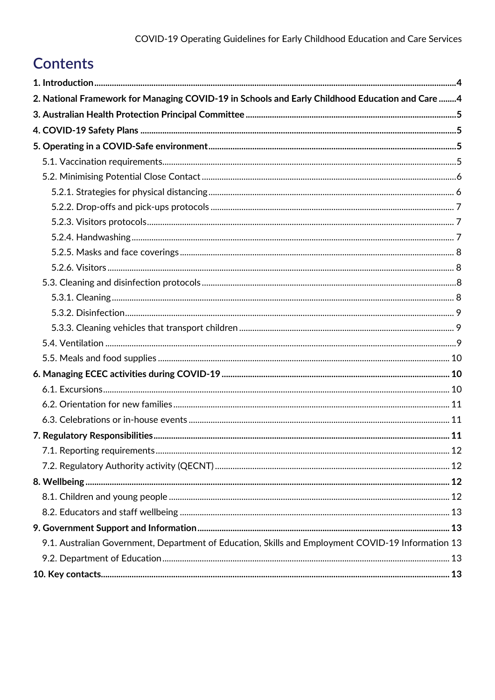# **Contents**

| 2. National Framework for Managing COVID-19 in Schools and Early Childhood Education and Care  4   |  |
|----------------------------------------------------------------------------------------------------|--|
|                                                                                                    |  |
|                                                                                                    |  |
|                                                                                                    |  |
|                                                                                                    |  |
|                                                                                                    |  |
|                                                                                                    |  |
|                                                                                                    |  |
|                                                                                                    |  |
|                                                                                                    |  |
|                                                                                                    |  |
|                                                                                                    |  |
|                                                                                                    |  |
|                                                                                                    |  |
|                                                                                                    |  |
|                                                                                                    |  |
|                                                                                                    |  |
|                                                                                                    |  |
|                                                                                                    |  |
|                                                                                                    |  |
|                                                                                                    |  |
|                                                                                                    |  |
|                                                                                                    |  |
|                                                                                                    |  |
|                                                                                                    |  |
|                                                                                                    |  |
|                                                                                                    |  |
|                                                                                                    |  |
|                                                                                                    |  |
| 9.1. Australian Government, Department of Education, Skills and Employment COVID-19 Information 13 |  |
|                                                                                                    |  |
|                                                                                                    |  |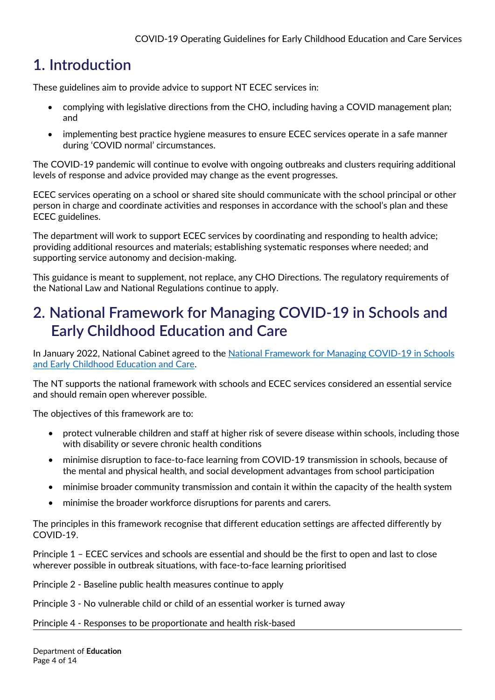# <span id="page-3-0"></span>**1. Introduction**

These guidelines aim to provide advice to support NT ECEC services in:

- complying with legislative directions from the CHO, including having a COVID management plan; and
- implementing best practice hygiene measures to ensure ECEC services operate in a safe manner during 'COVID normal' circumstances.

The COVID-19 pandemic will continue to evolve with ongoing outbreaks and clusters requiring additional levels of response and advice provided may change as the event progresses.

ECEC services operating on a school or shared site should communicate with the school principal or other person in charge and coordinate activities and responses in accordance with the school's plan and these ECEC guidelines.

The department will work to support ECEC services by coordinating and responding to health advice; providing additional resources and materials; establishing systematic responses where needed; and supporting service autonomy and decision-making.

This guidance is meant to supplement, not replace, any CHO Directions. The regulatory requirements of the National Law and National Regulations continue to apply.

# <span id="page-3-1"></span>**2. National Framework for Managing COVID-19 in Schools and Early Childhood Education and Care**

In January 2022, National Cabinet agreed to the National Framework for Managing COVID-19 in Schools [and Early Childhood Education and Care.](https://www.dese.gov.au/covid-19/announcements/national-framework-managing-covid19)

The NT supports the national framework with schools and ECEC services considered an essential service and should remain open wherever possible.

The objectives of this framework are to:

- protect vulnerable children and staff at higher risk of severe disease within schools, including those with disability or severe chronic health conditions
- minimise disruption to face-to-face learning from COVID-19 transmission in schools, because of the mental and physical health, and social development advantages from school participation
- minimise broader community transmission and contain it within the capacity of the health system
- minimise the broader workforce disruptions for parents and carers.

The principles in this framework recognise that different education settings are affected differently by COVID-19.

Principle 1 – ECEC services and schools are essential and should be the first to open and last to close wherever possible in outbreak situations, with face-to-face learning prioritised

Principle 2 - Baseline public health measures continue to apply

Principle 3 - No vulnerable child or child of an essential worker is turned away

Principle 4 - Responses to be proportionate and health risk-based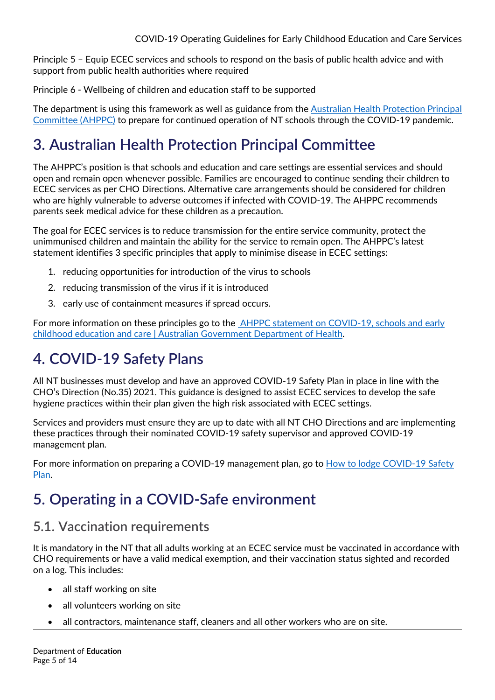Principle 5 – Equip ECEC services and schools to respond on the basis of public health advice and with support from public health authorities where required

Principle 6 - Wellbeing of children and education staff to be supported

The department is using this framework as well as guidance from the [Australian Health Protection Principal](https://www.health.gov.au/news/australian-health-protection-principal-committee-ahppc-statement-on-covid-19-schools-and-early-childhood-education-and-care)  [Committee \(AHPPC\)](https://www.health.gov.au/news/australian-health-protection-principal-committee-ahppc-statement-on-covid-19-schools-and-early-childhood-education-and-care) to prepare for continued operation of NT schools through the COVID-19 pandemic.

# <span id="page-4-0"></span>**3. Australian Health Protection Principal Committee**

The AHPPC's position is that schools and education and care settings are essential services and should open and remain open whenever possible. Families are encouraged to continue sending their children to ECEC services as per CHO Directions. Alternative care arrangements should be considered for children who are highly vulnerable to adverse outcomes if infected with COVID-19. The AHPPC recommends parents seek medical advice for these children as a precaution.

The goal for ECEC services is to reduce transmission for the entire service community, protect the unimmunised children and maintain the ability for the service to remain open. The AHPPC's latest statement identifies 3 specific principles that apply to minimise disease in ECEC settings:

- 1. reducing opportunities for introduction of the virus to schools
- 2. reducing transmission of the virus if it is introduced
- 3. early use of containment measures if spread occurs.

For more information on these principles go to the [AHPPC statement on COVID-19, schools and early](https://www.health.gov.au/news/australian-health-protection-principal-committee-ahppc-statement-on-covid-19-schools-and-early-childhood-education-and-care)  [childhood education and care | Australian Government Department of Health.](https://www.health.gov.au/news/australian-health-protection-principal-committee-ahppc-statement-on-covid-19-schools-and-early-childhood-education-and-care)

# <span id="page-4-1"></span>**4. COVID-19 Safety Plans**

All NT businesses must develop and have an approved COVID-19 Safety Plan in place in line with the CHO's Direction (No.35) 2021. This guidance is designed to assist ECEC services to develop the safe hygiene practices within their plan given the high risk associated with ECEC settings.

Services and providers must ensure they are up to date with all NT CHO Directions and are implementing these practices through their nominated COVID-19 safety supervisor and approved COVID-19 management plan.

For more information on preparing a COVID-19 management plan, go to How to lodge COVID-19 Safety [Plan.](https://coronavirus.nt.gov.au/business-and-work/business#/how_to_lodge_a_covid19_safety_plan)

# <span id="page-4-2"></span>**5. Operating in a COVID-Safe environment**

## <span id="page-4-3"></span>**5.1. Vaccination requirements**

It is mandatory in the NT that all adults working at an ECEC service must be vaccinated in accordance with CHO requirements or have a valid medical exemption, and their vaccination status sighted and recorded on a log. This includes:

- all staff working on site
- all volunteers working on site
- all contractors, maintenance staff, cleaners and all other workers who are on site.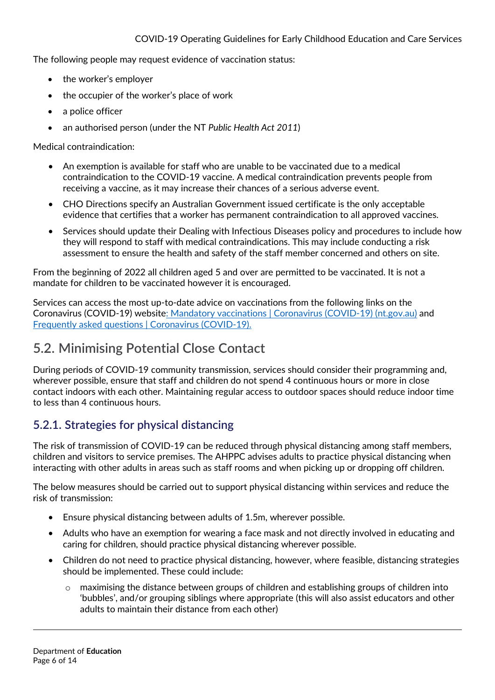The following people may request evidence of vaccination status:

- the worker's employer
- the occupier of the worker's place of work
- a police officer
- an authorised person (under the NT *Public Health Act 2011*)

Medical contraindication:

- An exemption is available for staff who are unable to be vaccinated due to a medical contraindication to the COVID-19 vaccine. A medical contraindication prevents people from receiving a vaccine, as it may increase their chances of a serious adverse event.
- CHO Directions specify an Australian Government issued certificate is the only acceptable evidence that certifies that a worker has permanent contraindication to all approved vaccines.
- Services should update their Dealing with Infectious Diseases policy and procedures to include how they will respond to staff with medical contraindications. This may include conducting a risk assessment to ensure the health and safety of the staff member concerned and others on site.

From the beginning of 2022 all children aged 5 and over are permitted to be vaccinated. It is not a mandate for children to be vaccinated however it is encouraged.

Services can access the most up-to-date advice on vaccinations from the following links on the Coronavirus (COVID-19) websit[e: Mandatory vaccinations | Coronavirus \(COVID-19\) \(nt.gov.au\)](https://coronavirus.nt.gov.au/business-and-work/mandatory-vaccinations) and [Frequently asked questions | Coronavirus \(COVID-19\).](https://coronavirus.nt.gov.au/stay-safe/booking-your-covid-19-vaccine/frequently-asked-questions#/are_the_covid19_vaccines_safe)

#### <span id="page-5-0"></span>**5.2. Minimising Potential Close Contact**

During periods of COVID-19 community transmission, services should consider their programming and, wherever possible, ensure that staff and children do not spend 4 continuous hours or more in close contact indoors with each other. Maintaining regular access to outdoor spaces should reduce indoor time to less than 4 continuous hours.

#### <span id="page-5-1"></span>**5.2.1. Strategies for physical distancing**

The risk of transmission of COVID-19 can be reduced through physical distancing among staff members, children and visitors to service premises. The AHPPC advises adults to practice physical distancing when interacting with other adults in areas such as staff rooms and when picking up or dropping off children.

The below measures should be carried out to support physical distancing within services and reduce the risk of transmission:

- Ensure physical distancing between adults of 1.5m, wherever possible.
- Adults who have an exemption for wearing a face mask and not directly involved in educating and caring for children, should practice physical distancing wherever possible.
- Children do not need to practice physical distancing, however, where feasible, distancing strategies should be implemented. These could include:
	- $\circ$  maximising the distance between groups of children and establishing groups of children into 'bubbles', and/or grouping siblings where appropriate (this will also assist educators and other adults to maintain their distance from each other)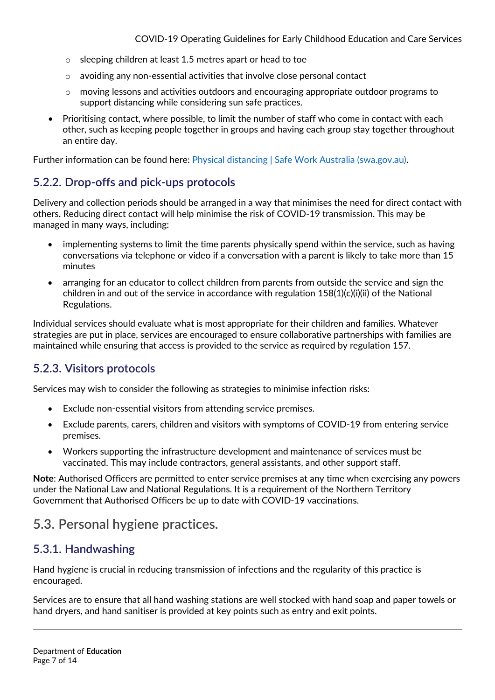- o sleeping children at least 1.5 metres apart or head to toe
- o avoiding any non-essential activities that involve close personal contact
- o moving lessons and activities outdoors and encouraging appropriate outdoor programs to support distancing while considering sun safe practices.
- Prioritising contact, where possible, to limit the number of staff who come in contact with each other, such as keeping people together in groups and having each group stay together throughout an entire day.

Further information can be found here: [Physical distancing | Safe Work Australia \(swa.gov.au\).](https://covid19.swa.gov.au/covid-19-information-workplaces/industry-information/general-industry-information/physical)

#### <span id="page-6-0"></span>**5.2.2. Drop-offs and pick-ups protocols**

Delivery and collection periods should be arranged in a way that minimises the need for direct contact with others. Reducing direct contact will help minimise the risk of COVID-19 transmission. This may be managed in many ways, including:

- implementing systems to limit the time parents physically spend within the service, such as having conversations via telephone or video if a conversation with a parent is likely to take more than 15 minutes
- arranging for an educator to collect children from parents from outside the service and sign the children in and out of the service in accordance with regulation  $158(1)(c)(i)(ii)$  of the National Regulations.

Individual services should evaluate what is most appropriate for their children and families. Whatever strategies are put in place, services are encouraged to ensure collaborative partnerships with families are maintained while ensuring that access is provided to the service as required by regulation 157.

#### <span id="page-6-1"></span>**5.2.3. Visitors protocols**

Services may wish to consider the following as strategies to minimise infection risks:

- Exclude non-essential visitors from attending service premises.
- Exclude parents, carers, children and visitors with symptoms of COVID-19 from entering service premises.
- Workers supporting the infrastructure development and maintenance of services must be vaccinated. This may include contractors, general assistants, and other support staff.

**Note**: Authorised Officers are permitted to enter service premises at any time when exercising any powers under the National Law and National Regulations. It is a requirement of the Northern Territory Government that Authorised Officers be up to date with COVID-19 vaccinations.

#### **5.3. Personal hygiene practices.**

#### <span id="page-6-2"></span>**5.3.1. Handwashing**

Hand hygiene is crucial in reducing transmission of infections and the regularity of this practice is encouraged.

Services are to ensure that all hand washing stations are well stocked with hand soap and paper towels or hand dryers, and hand sanitiser is provided at key points such as entry and exit points.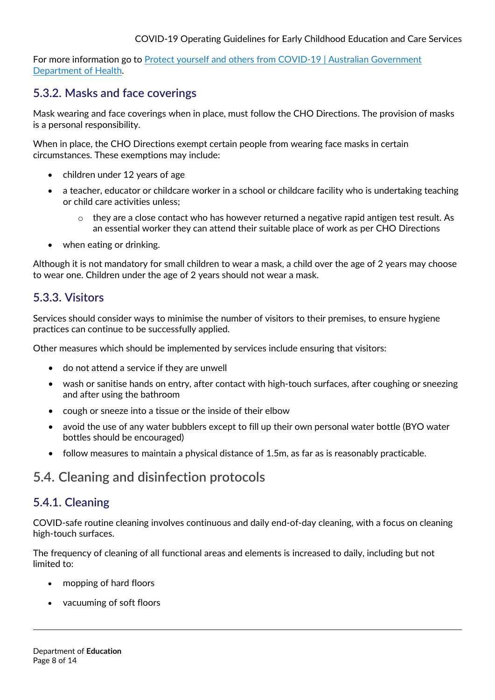For more information go to [Protect yourself and others from COVID-19 | Australian Government](https://www.health.gov.au/health-alerts/covid-19/protect-yourself-and-others#hygiene)  [Department of Health.](https://www.health.gov.au/health-alerts/covid-19/protect-yourself-and-others#hygiene)

#### <span id="page-7-0"></span>**5.3.2. Masks and face coverings**

Mask wearing and face coverings when in place, must follow the CHO Directions. The provision of masks is a personal responsibility.

When in place, the CHO Directions exempt certain people from wearing face masks in certain circumstances. These exemptions may include:

- children under 12 years of age
- a teacher, educator or childcare worker in a school or childcare facility who is undertaking teaching or child care activities unless;
	- $\circ$  they are a close contact who has however returned a negative rapid antigen test result. As an essential worker they can attend their suitable place of work as per CHO Directions
- when eating or drinking.

Although it is not mandatory for small children to wear a mask, a child over the age of 2 years may choose to wear one. Children under the age of 2 years should not wear a mask.

#### <span id="page-7-1"></span>**5.3.3. Visitors**

Services should consider ways to minimise the number of visitors to their premises, to ensure hygiene practices can continue to be successfully applied.

Other measures which should be implemented by services include ensuring that visitors:

- do not attend a service if they are unwell
- wash or sanitise hands on entry, after contact with high-touch surfaces, after coughing or sneezing and after using the bathroom
- cough or sneeze into a tissue or the inside of their elbow
- avoid the use of any water bubblers except to fill up their own personal water bottle (BYO water bottles should be encouraged)
- follow measures to maintain a physical distance of 1.5m, as far as is reasonably practicable.

## <span id="page-7-2"></span>**5.4. Cleaning and disinfection protocols**

#### <span id="page-7-3"></span>**5.4.1. Cleaning**

COVID-safe routine cleaning involves continuous and daily end-of-day cleaning, with a focus on cleaning high-touch surfaces.

The frequency of cleaning of all functional areas and elements is increased to daily, including but not limited to:

- mopping of hard floors
- vacuuming of soft floors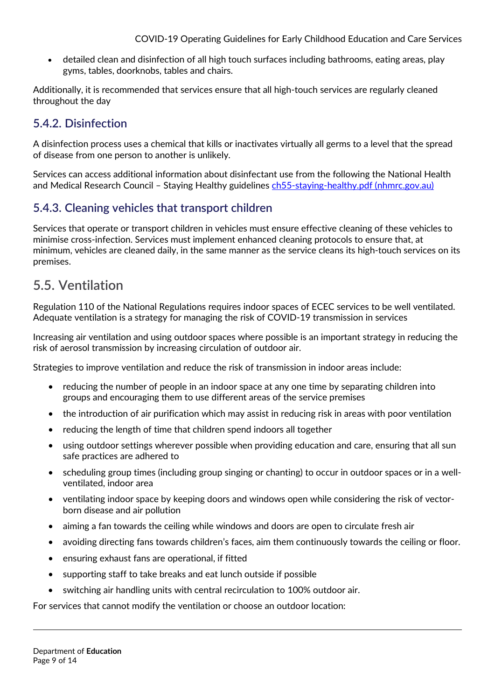• detailed clean and disinfection of all high touch surfaces including bathrooms, eating areas, play gyms, tables, doorknobs, tables and chairs.

Additionally, it is recommended that services ensure that all high-touch services are regularly cleaned throughout the day

#### <span id="page-8-0"></span>**5.4.2. Disinfection**

A disinfection process uses a chemical that kills or inactivates virtually all germs to a level that the spread of disease from one person to another is unlikely.

Services can access additional information about disinfectant use from the following the National Health and Medical Research Council - Staying Healthy guidelines [ch55-staying-healthy.pdf \(nhmrc.gov.au\)](https://www.nhmrc.gov.au/sites/default/files/documents/reports/clinical%20guidelines/ch55-staying-healthy.pdf)

#### <span id="page-8-1"></span>**5.4.3. Cleaning vehicles that transport children**

Services that operate or transport children in vehicles must ensure effective cleaning of these vehicles to minimise cross-infection. Services must implement enhanced cleaning protocols to ensure that, at minimum, vehicles are cleaned daily, in the same manner as the service cleans its high-touch services on its premises.

#### <span id="page-8-2"></span>**5.5. Ventilation**

Regulation 110 of the National Regulations requires indoor spaces of ECEC services to be well ventilated. Adequate ventilation is a strategy for managing the risk of COVID-19 transmission in services

Increasing air ventilation and using outdoor spaces where possible is an important strategy in reducing the risk of aerosol transmission by increasing circulation of outdoor air.

Strategies to improve ventilation and reduce the risk of transmission in indoor areas include:

- reducing the number of people in an indoor space at any one time by separating children into groups and encouraging them to use different areas of the service premises
- the introduction of air purification which may assist in reducing risk in areas with poor ventilation
- reducing the length of time that children spend indoors all together
- using outdoor settings wherever possible when providing education and care, ensuring that all sun safe practices are adhered to
- scheduling group times (including group singing or chanting) to occur in outdoor spaces or in a wellventilated, indoor area
- ventilating indoor space by keeping doors and windows open while considering the risk of vectorborn disease and air pollution
- aiming a fan towards the ceiling while windows and doors are open to circulate fresh air
- avoiding directing fans towards children's faces, aim them continuously towards the ceiling or floor.
- ensuring exhaust fans are operational, if fitted
- supporting staff to take breaks and eat lunch outside if possible
- switching air handling units with central recirculation to 100% outdoor air.

For services that cannot modify the ventilation or choose an outdoor location: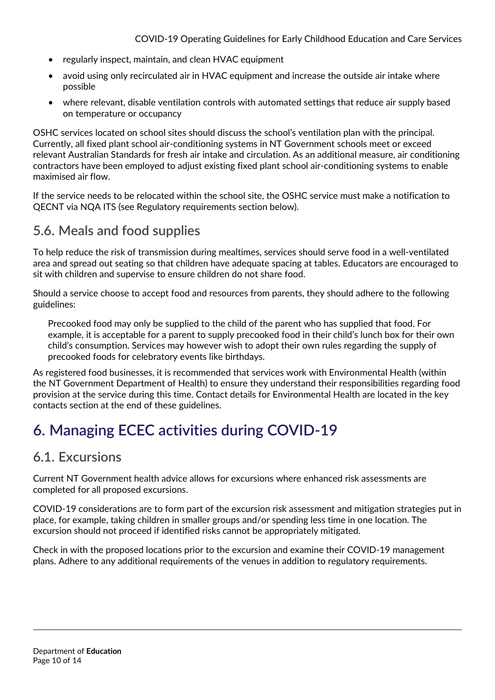- regularly inspect, maintain, and clean HVAC equipment
- avoid using only recirculated air in HVAC equipment and increase the outside air intake where possible
- where relevant, disable ventilation controls with automated settings that reduce air supply based on temperature or occupancy

OSHC services located on school sites should discuss the school's ventilation plan with the principal. Currently, all fixed plant school air-conditioning systems in NT Government schools meet or exceed relevant Australian Standards for fresh air intake and circulation. As an additional measure, air conditioning contractors have been employed to adjust existing fixed plant school air-conditioning systems to enable maximised air flow.

If the service needs to be relocated within the school site, the OSHC service must make a notification to QECNT via NQA ITS (see Regulatory requirements section below).

## <span id="page-9-0"></span>**5.6. Meals and food supplies**

To help reduce the risk of transmission during mealtimes, services should serve food in a well-ventilated area and spread out seating so that children have adequate spacing at tables. Educators are encouraged to sit with children and supervise to ensure children do not share food.

Should a service choose to accept food and resources from parents, they should adhere to the following guidelines:

Precooked food may only be supplied to the child of the parent who has supplied that food. For example, it is acceptable for a parent to supply precooked food in their child's lunch box for their own child's consumption. Services may however wish to adopt their own rules regarding the supply of precooked foods for celebratory events like birthdays.

As registered food businesses, it is recommended that services work with Environmental Health (within the NT Government Department of Health) to ensure they understand their responsibilities regarding food provision at the service during this time. Contact details for Environmental Health are located in the key contacts section at the end of these guidelines.

# <span id="page-9-1"></span>**6. Managing ECEC activities during COVID-19**

## <span id="page-9-2"></span>**6.1. Excursions**

Current NT Government health advice allows for excursions where enhanced risk assessments are completed for all proposed excursions.

COVID-19 considerations are to form part of the excursion risk assessment and mitigation strategies put in place, for example, taking children in smaller groups and/or spending less time in one location. The excursion should not proceed if identified risks cannot be appropriately mitigated.

Check in with the proposed locations prior to the excursion and examine their COVID-19 management plans. Adhere to any additional requirements of the venues in addition to regulatory requirements.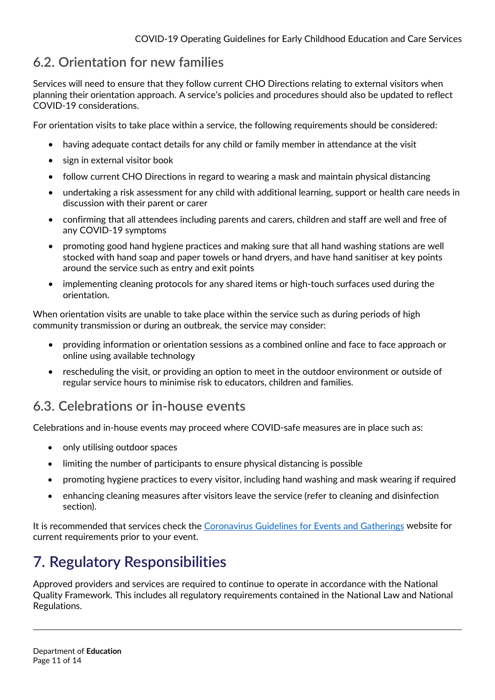# <span id="page-10-0"></span>**6.2. Orientation for new families**

Services will need to ensure that they follow current CHO Directions relating to external visitors when planning their orientation approach. A service's policies and procedures should also be updated to reflect COVID-19 considerations.

For orientation visits to take place within a service, the following requirements should be considered:

- having adequate contact details for any child or family member in attendance at the visit
- sign in external visitor book
- follow current CHO Directions in regard to wearing a mask and maintain physical distancing
- undertaking a risk assessment for any child with additional learning, support or health care needs in discussion with their parent or carer
- confirming that all attendees including parents and carers, children and staff are well and free of any COVID-19 symptoms
- promoting good hand hygiene practices and making sure that all hand washing stations are well stocked with hand soap and paper towels or hand dryers, and have hand sanitiser at key points around the service such as entry and exit points
- implementing cleaning protocols for any shared items or high-touch surfaces used during the orientation.

When orientation visits are unable to take place within the service such as during periods of high community transmission or during an outbreak, the service may consider:

- providing information or orientation sessions as a combined online and face to face approach or online using available technology
- rescheduling the visit, or providing an option to meet in the outdoor environment or outside of regular service hours to minimise risk to educators, children and families.

## <span id="page-10-1"></span>**6.3. Celebrations or in-house events**

Celebrations and in-house events may proceed where COVID-safe measures are in place such as:

- only utilising outdoor spaces
- limiting the number of participants to ensure physical distancing is possible
- promoting hygiene practices to every visitor, including hand washing and mask wearing if required
- enhancing cleaning measures after visitors leave the service (refer to cleaning and disinfection section).

It is recommended that services check the [Coronavirus Guidelines for Events and Gatherings](https://coronavirus.nt.gov.au/business-and-work/business/guidelines-for-events-and-gatherings%23/more_than_500_people#/outside_a_major_population_centre) website for current requirements prior to your event.

# <span id="page-10-2"></span>**7. Regulatory Responsibilities**

Approved providers and services are required to continue to operate in accordance with the National Quality Framework. This includes all regulatory requirements contained in the National Law and National Regulations.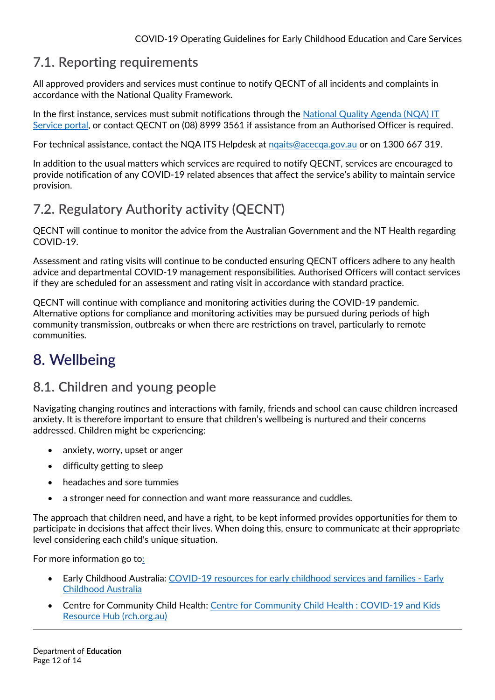## <span id="page-11-0"></span>**7.1. Reporting requirements**

All approved providers and services must continue to notify QECNT of all incidents and complaints in accordance with the National Quality Framework.

In the first instance, services must submit notifications through the [National Quality Agenda \(NQA\) IT](https://www.acecqa.gov.au/resources/national-quality-agenda-it-system)  [Service portal,](https://www.acecqa.gov.au/resources/national-quality-agenda-it-system) or contact QECNT on (08) 8999 3561 if assistance from an Authorised Officer is required.

For technical assistance, contact the NQA ITS Helpdesk at [nqaits@acecqa.gov.au](mailto:nqaits@acecqa.gov.au) or on 1300 667 319.

In addition to the usual matters which services are required to notify QECNT, services are encouraged to provide notification of any COVID-19 related absences that affect the service's ability to maintain service provision.

# <span id="page-11-1"></span>**7.2. Regulatory Authority activity (QECNT)**

QECNT will continue to monitor the advice from the Australian Government and the NT Health regarding COVID-19.

Assessment and rating visits will continue to be conducted ensuring QECNT officers adhere to any health advice and departmental COVID-19 management responsibilities. Authorised Officers will contact services if they are scheduled for an assessment and rating visit in accordance with standard practice.

QECNT will continue with compliance and monitoring activities during the COVID-19 pandemic. Alternative options for compliance and monitoring activities may be pursued during periods of high community transmission, outbreaks or when there are restrictions on travel, particularly to remote communities.

# <span id="page-11-2"></span>**8. Wellbeing**

## <span id="page-11-3"></span>**8.1. Children and young people**

Navigating changing routines and interactions with family, friends and school can cause children increased anxiety. It is therefore important to ensure that children's wellbeing is nurtured and their concerns addressed. Children might be experiencing:

- anxiety, worry, upset or anger
- difficulty getting to sleep
- headaches and sore tummies
- a stronger need for connection and want more reassurance and cuddles.

The approach that children need, and have a right, to be kept informed provides opportunities for them to participate in decisions that affect their lives. When doing this, ensure to communicate at their appropriate level considering each child's unique situation.

For more information go to:

- Early Childhood Australia: [COVID-19 resources for early childhood services and families Early](http://www.earlychildhoodaustralia.org.au/media/covid-19-resources-early-childhood-services-families/)  [Childhood Australia](http://www.earlychildhoodaustralia.org.au/media/covid-19-resources-early-childhood-services-families/)
- Centre for Community Child Health: [Centre for Community Child Health : COVID-19 and Kids](https://www.rch.org.au/ccch/covid-19/?utm_source=Facebook&utm_medium=Social+Media#supporting-schools-and-early-childhood-education-and-care)  [Resource Hub \(rch.org.au\)](https://www.rch.org.au/ccch/covid-19/?utm_source=Facebook&utm_medium=Social+Media#supporting-schools-and-early-childhood-education-and-care)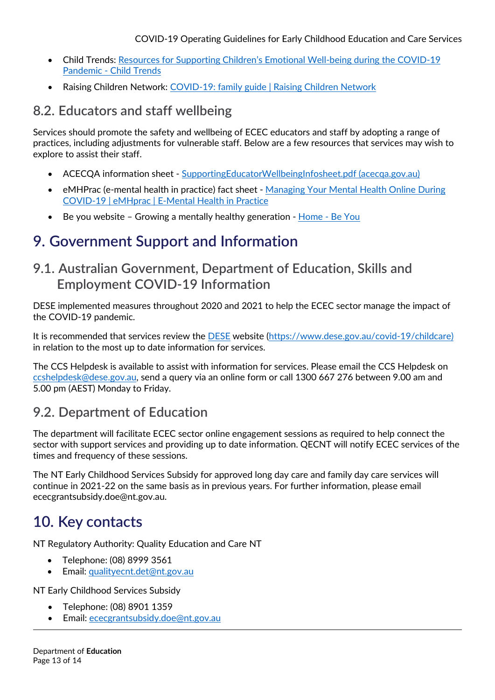- Child Trends: [Resources for Supporting Children's Emotional Well-being during the COVID-19](https://www.childtrends.org/publications/resources-for-supporting-childrens-emotional-well-being-during-the-covid-19-pandemic)  [Pandemic - Child Trends](https://www.childtrends.org/publications/resources-for-supporting-childrens-emotional-well-being-during-the-covid-19-pandemic)
- Raising Children Network: [COVID-19: family guide | Raising Children Network](https://raisingchildren.net.au/guides/coronavirus-covid-19-guide)

## <span id="page-12-0"></span>**8.2. Educators and staff wellbeing**

Services should promote the safety and wellbeing of ECEC educators and staff by adopting a range of practices, including adjustments for vulnerable staff. Below are a few resources that services may wish to explore to assist their staff.

- ACECQA information sheet - [SupportingEducatorWellbeingInfosheet.pdf \(acecqa.gov.au\)](https://www.acecqa.gov.au/sites/default/files/2020-04/SupportingEducatorWellbeingInfosheet.pdf)
- eMHPrac (e-mental health in practice) fact sheet Managing Your Mental Health Online During [COVID-19 | eMHprac | E-Mental Health in Practice](https://www.emhprac.org.au/resource/managing-your-mental-health-online-during-covid-19/)
- Be you website Growing a mentally healthy generation - [Home Be You](https://beyou.edu.au/)

## <span id="page-12-1"></span>**9. Government Support and Information**

## <span id="page-12-2"></span>**9.1. Australian Government, Department of Education, Skills and Employment COVID-19 Information**

DESE implemented measures throughout 2020 and 2021 to help the ECEC sector manage the impact of the COVID-19 pandemic.

It is recommended that services review the [DESE](https://www.dese.gov.au/covid-19/childcare) website [\(https://www.dese.gov.au/covid-19/childcare\)](https://www.dese.gov.au/covid-19/childcare) in relation to the most up to date information for services.

The CCS Helpdesk is available to assist with information for services. Please email the CCS Helpdesk on [ccshelpdesk@dese.gov.au,](mailto:ccshelpdesk@dese.gov.au) send a query via an online form or call 1300 667 276 between 9.00 am and 5.00 pm (AEST) Monday to Friday.

## <span id="page-12-3"></span>**9.2. Department of Education**

The department will facilitate ECEC sector online engagement sessions as required to help connect the sector with support services and providing up to date information. QECNT will notify ECEC services of the times and frequency of these sessions.

The NT Early Childhood Services Subsidy for approved long day care and family day care services will continue in 2021-22 on the same basis as in previous years. For further information, please email ececgrantsubsidy.doe@nt.gov.au.

# <span id="page-12-4"></span>**10. Key contacts**

NT Regulatory Authority: Quality Education and Care NT

- Telephone: (08) 8999 3561
- Email: [qualityecnt.det@nt.gov.au](mailto:qualityecnt.det@nt.gov.au)

NT Early Childhood Services Subsidy

- Telephone: (08) 8901 1359
- Email: ececgrantsubsidy.doe@nt.gov.au